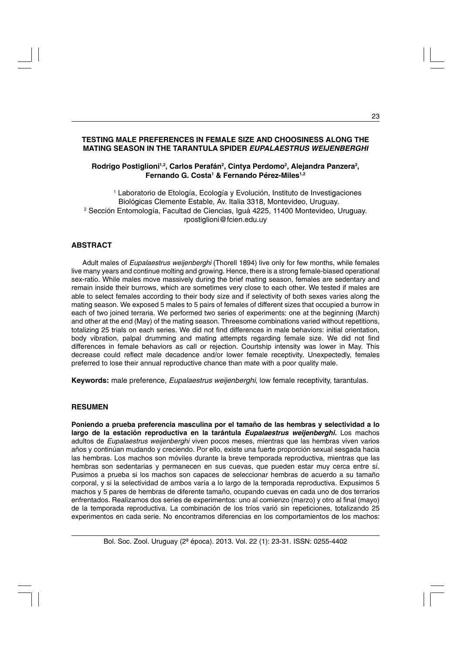# **TESTING MALE PREFERENCES IN FEMALE SIZE AND CHOOSINESS ALONG THE MATING SEASON IN THE TARANTULA SPIDER** *EUPALAESTRUS WEIJENBERGHI*

# **Rodrigo Postiglioni1,2, Carlos Perafán2, Cintya Perdomo2, Alejandra Panzera2 , Fernando G. Costa1 & Fernando Pérez-Miles1,2**

1 Laboratorio de Etología, Ecología y Evolución, Instituto de Investigaciones Biológicas Clemente Estable, Av. Italia 3318, Montevideo, Uruguay. 2 Sección Entomología, Facultad de Ciencias, Iguá 4225, 11400 Montevideo, Uruguay. rpostiglioni@fcien.edu.uy

# **ABSTRACT**

Adult males of *Eupalaestrus weijenberghi* (Thorell 1894) live only for few months, while females live many years and continue molting and growing. Hence, there is a strong female-biased operational sex-ratio. While males move massively during the brief mating season, females are sedentary and remain inside their burrows, which are sometimes very close to each other. We tested if males are able to select females according to their body size and if selectivity of both sexes varies along the mating season. We exposed 5 males to 5 pairs of females of different sizes that occupied a burrow in each of two joined terraria. We performed two series of experiments: one at the beginning (March) and other at the end (May) of the mating season. Threesome combinations varied without repetitions, totalizing 25 trials on each series. We did not find differences in male behaviors: initial orientation, body vibration, palpal drumming and mating attempts regarding female size. We did not find differences in female behaviors as call or rejection. Courtship intensity was lower in May. This decrease could reflect male decadence and/or lower female receptivity. Unexpectedly, females preferred to lose their annual reproductive chance than mate with a poor quality male.

**Keywords:** male preference, *Eupalaestrus weijenberghi*, low female receptivity, tarantulas.

# **RESUMEN**

**Poniendo a prueba preferencia masculina por el tamaño de las hembras y selectividad a lo largo de la estación reproductiva en la tarántula** *Eupalaestrus weijenberghi***.** Los machos adultos de *Eupalaestrus weijenberghi* viven pocos meses, mientras que las hembras viven varios años y continúan mudando y creciendo. Por ello, existe una fuerte proporción sexual sesgada hacia las hembras. Los machos son móviles durante la breve temporada reproductiva, mientras que las hembras son sedentarias y permanecen en sus cuevas, que pueden estar muy cerca entre sí. Pusimos a prueba si los machos son capaces de seleccionar hembras de acuerdo a su tamaño corporal, y si la selectividad de ambos varía a lo largo de la temporada reproductiva. Expusimos 5 machos y 5 pares de hembras de diferente tamaño, ocupando cuevas en cada uno de dos terrarios enfrentados. Realizamos dos series de experimentos: uno al comienzo (marzo) y otro al final (mayo) de la temporada reproductiva. La combinación de los tríos varió sin repeticiones, totalizando 25 experimentos en cada serie. No encontramos diferencias en los comportamientos de los machos: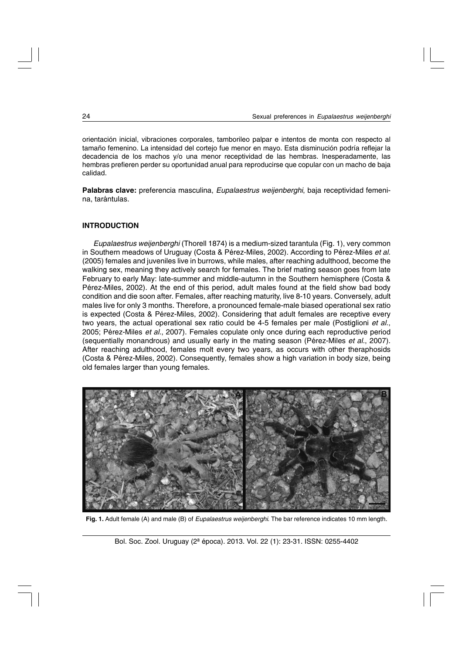orientación inicial, vibraciones corporales, tamborileo palpar e intentos de monta con respecto al tamaño femenino. La intensidad del cortejo fue menor en mayo. Esta disminución podría reflejar la decadencia de los machos y/o una menor receptividad de las hembras. Inesperadamente, las hembras prefieren perder su oportunidad anual para reproducirse que copular con un macho de baja calidad.

**Palabras clave:** preferencia masculina, *Eupalaestrus weijenberghi*, baja receptividad femenina, tarántulas.

# **INTRODUCTION**

*Eupalaestrus weijenberghi* (Thorell 1874) is a medium-sized tarantula (Fig. 1), very common in Southern meadows of Uruguay (Costa & Pérez-Miles, 2002). According to Pérez-Miles *et al.* (2005) females and juveniles live in burrows, while males, after reaching adulthood, become the walking sex, meaning they actively search for females. The brief mating season goes from late February to early May: late-summer and middle-autumn in the Southern hemisphere (Costa & Pérez-Miles, 2002). At the end of this period, adult males found at the field show bad body condition and die soon after. Females, after reaching maturity, live 8-10 years. Conversely, adult males live for only 3 months. Therefore, a pronounced female-male biased operational sex ratio is expected (Costa & Pérez-Miles, 2002). Considering that adult females are receptive every two years, the actual operational sex ratio could be 4-5 females per male (Postiglioni *et al.*, 2005; Pérez-Miles *et al.*, 2007). Females copulate only once during each reproductive period (sequentially monandrous) and usually early in the mating season (Pérez-Miles *et al.*, 2007). After reaching adulthood, females molt every two years, as occurs with other theraphosids (Costa & Pérez-Miles, 2002). Consequently, females show a high variation in body size, being old females larger than young females.



**Fig. 1.** Adult female (A) and male (B) of *Eupalaestrus weijenberghi*. The bar reference indicates 10 mm length.

Bol. Soc. Zool. Uruguay (2ª época). 2013. Vol. 22 (1): 23-31. ISSN: 0255-4402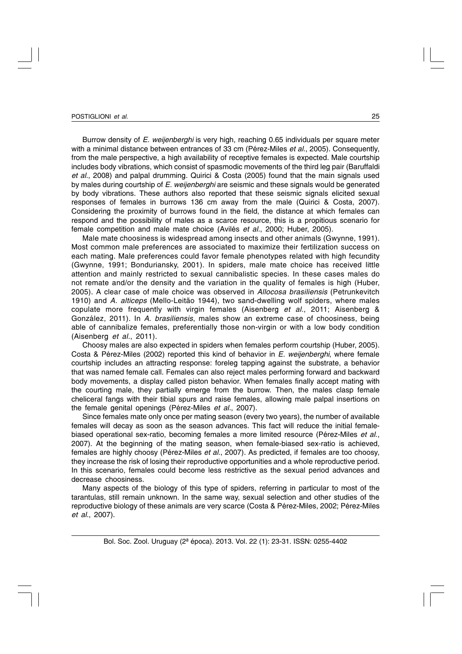#### POSTIGLIONI *et al.*

Burrow density of *E. weijenberghi* is very high, reaching 0.65 individuals per square meter with a minimal distance between entrances of 33 cm (Pérez-Miles *et al.*, 2005). Consequently, from the male perspective, a high availability of receptive females is expected. Male courtship includes body vibrations, which consist of spasmodic movements of the third leg pair (Baruffaldi *et al.*, 2008) and palpal drumming. Quirici & Costa (2005) found that the main signals used by males during courtship of *E. weijenberghi* are seismic and these signals would be generated by body vibrations. These authors also reported that these seismic signals elicited sexual responses of females in burrows 136 cm away from the male (Quirici & Costa, 2007). Considering the proximity of burrows found in the field, the distance at which females can respond and the possibility of males as a scarce resource, this is a propitious scenario for female competition and male mate choice (Avilés *et al.*, 2000; Huber, 2005).

Male mate choosiness is widespread among insects and other animals (Gwynne, 1991). Most common male preferences are associated to maximize their fertilization success on each mating. Male preferences could favor female phenotypes related with high fecundity (Gwynne, 1991; Bonduriansky, 2001). In spiders, male mate choice has received little attention and mainly restricted to sexual cannibalistic species. In these cases males do not remate and/or the density and the variation in the quality of females is high (Huber, 2005). A clear case of male choice was observed in *Allocosa brasiliensis* (Petrunkevitch 1910) and *A. alticeps* (Mello-Leitão 1944), two sand-dwelling wolf spiders, where males copulate more frequently with virgin females (Aisenberg *et al.*, 2011; Aisenberg & González, 2011). In *A. brasiliensis*, males show an extreme case of choosiness, being able of cannibalize females, preferentially those non-virgin or with a low body condition (Aisenberg *et al.*, 2011).

Choosy males are also expected in spiders when females perform courtship (Huber, 2005). Costa & Pérez-Miles (2002) reported this kind of behavior in *E. weijenberghi*, where female courtship includes an attracting response: foreleg tapping against the substrate, a behavior that was named female call. Females can also reject males performing forward and backward body movements, a display called piston behavior. When females finally accept mating with the courting male, they partially emerge from the burrow. Then, the males clasp female cheliceral fangs with their tibial spurs and raise females, allowing male palpal insertions on the female genital openings (Pérez-Miles *et al.*, 2007).

Since females mate only once per mating season (every two years), the number of available females will decay as soon as the season advances. This fact will reduce the initial femalebiased operational sex-ratio, becoming females a more limited resource (Pérez-Miles *et al.*, 2007). At the beginning of the mating season, when female-biased sex-ratio is achieved, females are highly choosy (Pérez-Miles *et al.*, 2007). As predicted, if females are too choosy, they increase the risk of losing their reproductive opportunities and a whole reproductive period. In this scenario, females could become less restrictive as the sexual period advances and decrease choosiness.

Many aspects of the biology of this type of spiders, referring in particular to most of the tarantulas, still remain unknown. In the same way, sexual selection and other studies of the reproductive biology of these animals are very scarce (Costa & Pérez-Miles, 2002; Pérez-Miles *et al.*, 2007).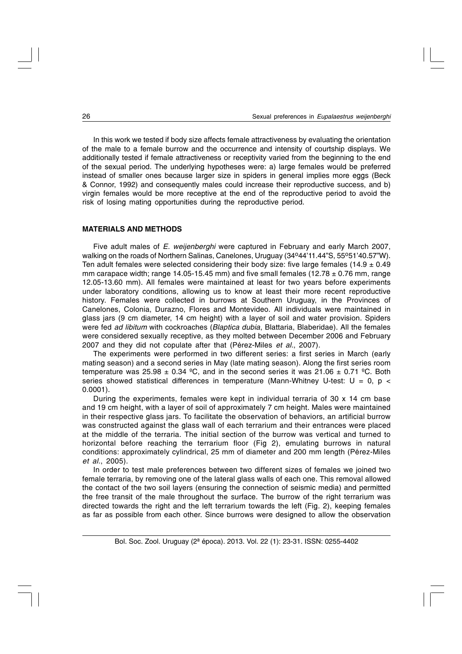In this work we tested if body size affects female attractiveness by evaluating the orientation of the male to a female burrow and the occurrence and intensity of courtship displays. We additionally tested if female attractiveness or receptivity varied from the beginning to the end of the sexual period. The underlying hypotheses were: a) large females would be preferred instead of smaller ones because larger size in spiders in general implies more eggs (Beck & Connor, 1992) and consequently males could increase their reproductive success, and b) virgin females would be more receptive at the end of the reproductive period to avoid the risk of losing mating opportunities during the reproductive period.

# **MATERIALS AND METHODS**

Five adult males of *E. weijenberghi* were captured in February and early March 2007, walking on the roads of Northern Salinas, Canelones, Uruguay (34°44'11.44"S, 55°51'40.57"W). Ten adult females were selected considering their body size: five large females (14.9  $\pm$  0.49 mm carapace width; range 14.05-15.45 mm) and five small females (12.78  $\pm$  0.76 mm, range 12.05-13.60 mm). All females were maintained at least for two years before experiments under laboratory conditions, allowing us to know at least their more recent reproductive history. Females were collected in burrows at Southern Uruguay, in the Provinces of Canelones, Colonia, Durazno, Flores and Montevideo. All individuals were maintained in glass jars (9 cm diameter, 14 cm height) with a layer of soil and water provision. Spiders were fed *ad libitum* with cockroaches (*Blaptica dubia*, Blattaria, Blaberidae). All the females were considered sexually receptive, as they molted between December 2006 and February 2007 and they did not copulate after that (Pérez-Miles *et al.*, 2007).

The experiments were performed in two different series: a first series in March (early mating season) and a second series in May (late mating season). Along the first series room temperature was  $25.98 \pm 0.34$  °C, and in the second series it was  $21.06 \pm 0.71$  °C. Both series showed statistical differences in temperature (Mann-Whitney U-test:  $U = 0$ ,  $p <$ 0.0001).

During the experiments, females were kept in individual terraria of  $30 \times 14$  cm base and 19 cm height, with a layer of soil of approximately 7 cm height. Males were maintained in their respective glass jars. To facilitate the observation of behaviors, an artificial burrow was constructed against the glass wall of each terrarium and their entrances were placed at the middle of the terraria. The initial section of the burrow was vertical and turned to horizontal before reaching the terrarium floor (Fig 2), emulating burrows in natural conditions: approximately cylindrical, 25 mm of diameter and 200 mm length (Pérez-Miles *et al.*, 2005).

In order to test male preferences between two different sizes of females we joined two female terraria, by removing one of the lateral glass walls of each one. This removal allowed the contact of the two soil layers (ensuring the connection of seismic media) and permitted the free transit of the male throughout the surface. The burrow of the right terrarium was directed towards the right and the left terrarium towards the left (Fig. 2), keeping females as far as possible from each other. Since burrows were designed to allow the observation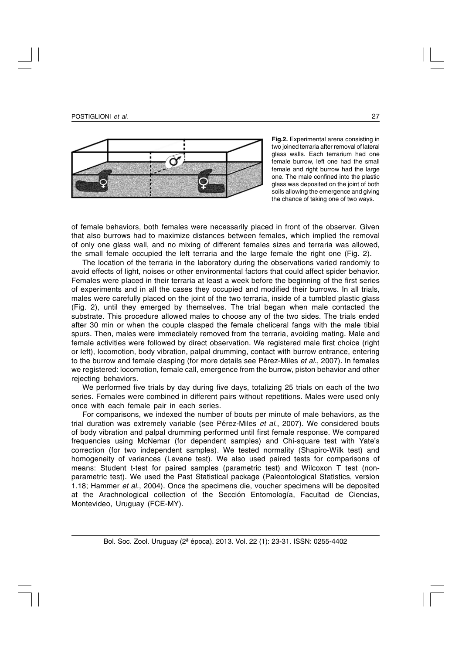

**Fig.2.** Experimental arena consisting in two joined terraria after removal of lateral glass walls. Each terrarium had one female burrow, left one had the small female and right burrow had the large one. The male confined into the plastic glass was deposited on the joint of both soils allowing the emergence and giving the chance of taking one of two ways.

of female behaviors, both females were necessarily placed in front of the observer. Given that also burrows had to maximize distances between females, which implied the removal of only one glass wall, and no mixing of different females sizes and terraria was allowed, the small female occupied the left terraria and the large female the right one (Fig. 2).

The location of the terraria in the laboratory during the observations varied randomly to avoid effects of light, noises or other environmental factors that could affect spider behavior. Females were placed in their terraria at least a week before the beginning of the first series of experiments and in all the cases they occupied and modified their burrows. In all trials, males were carefully placed on the joint of the two terraria, inside of a tumbled plastic glass (Fig. 2), until they emerged by themselves. The trial began when male contacted the substrate. This procedure allowed males to choose any of the two sides. The trials ended after 30 min or when the couple clasped the female cheliceral fangs with the male tibial spurs. Then, males were immediately removed from the terraria, avoiding mating. Male and female activities were followed by direct observation. We registered male first choice (right or left), locomotion, body vibration, palpal drumming, contact with burrow entrance, entering to the burrow and female clasping (for more details see Pérez-Miles *et al.*, 2007). In females we registered: locomotion, female call, emergence from the burrow, piston behavior and other rejecting behaviors.

We performed five trials by day during five days, totalizing 25 trials on each of the two series. Females were combined in different pairs without repetitions. Males were used only once with each female pair in each series.

For comparisons, we indexed the number of bouts per minute of male behaviors, as the trial duration was extremely variable (see Pérez-Miles *et al.*, 2007). We considered bouts of body vibration and palpal drumming performed until first female response. We compared frequencies using McNemar (for dependent samples) and Chi-square test with Yate's correction (for two independent samples). We tested normality (Shapiro-Wilk test) and homogeneity of variances (Levene test). We also used paired tests for comparisons of means: Student t-test for paired samples (parametric test) and Wilcoxon T test (nonparametric test). We used the Past Statistical package (Paleontological Statistics, version 1.18; Hammer *et al.*, 2004). Once the specimens die, voucher specimens will be deposited at the Arachnological collection of the Sección Entomología, Facultad de Ciencias, Montevideo, Uruguay (FCE-MY).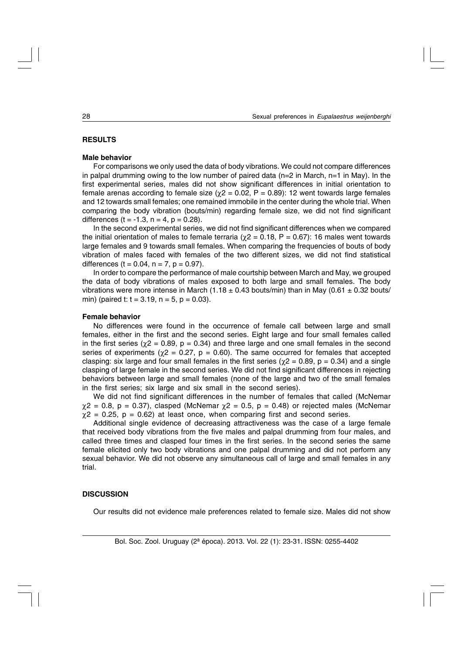## **RESULTS**

#### **Male behavior**

For comparisons we only used the data of body vibrations. We could not compare differences in palpal drumming owing to the low number of paired data ( $n=2$  in March,  $n=1$  in May). In the first experimental series, males did not show significant differences in initial orientation to female arenas according to female size ( $χ$ 2 = 0.02, P = 0.89): 12 went towards large females and 12 towards small females; one remained immobile in the center during the whole trial. When comparing the body vibration (bouts/min) regarding female size, we did not find significant differences (t =  $-1.3$ , n = 4, p = 0.28).

In the second experimental series, we did not find significant differences when we compared the initial orientation of males to female terraria ( $\chi$ 2 = 0.18, P = 0.67): 16 males went towards large females and 9 towards small females. When comparing the frequencies of bouts of body vibration of males faced with females of the two different sizes, we did not find statistical differences ( $t = 0.04$ ,  $n = 7$ ,  $p = 0.97$ ).

In order to compare the performance of male courtship between March and May, we grouped the data of body vibrations of males exposed to both large and small females. The body vibrations were more intense in March (1.18  $\pm$  0.43 bouts/min) than in May (0.61  $\pm$  0.32 bouts/ min) (paired t:  $t = 3.19$ ,  $n = 5$ ,  $p = 0.03$ ).

#### **Female behavior**

No differences were found in the occurrence of female call between large and small females, either in the first and the second series. Eight large and four small females called in the first series ( $\chi$ 2 = 0.89, p = 0.34) and three large and one small females in the second series of experiments ( $\chi$ 2 = 0.27, p = 0.60). The same occurred for females that accepted clasping: six large and four small females in the first series ( $\chi$ 2 = 0.89, p = 0.34) and a single clasping of large female in the second series. We did not find significant differences in rejecting behaviors between large and small females (none of the large and two of the small females in the first series; six large and six small in the second series).

We did not find significant differences in the number of females that called (McNemar  $\chi$ 2 = 0.8, p = 0.37), clasped (McNemar  $\chi$ 2 = 0.5, p = 0.48) or rejected males (McNemar  $\chi$ 2 = 0.25, p = 0.62) at least once, when comparing first and second series.

Additional single evidence of decreasing attractiveness was the case of a large female that received body vibrations from the five males and palpal drumming from four males, and called three times and clasped four times in the first series. In the second series the same female elicited only two body vibrations and one palpal drumming and did not perform any sexual behavior. We did not observe any simultaneous call of large and small females in any trial.

### **DISCUSSION**

Our results did not evidence male preferences related to female size. Males did not show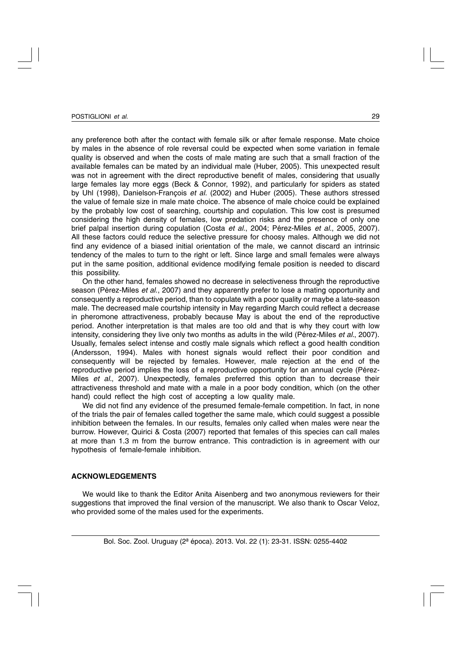any preference both after the contact with female silk or after female response. Mate choice by males in the absence of role reversal could be expected when some variation in female quality is observed and when the costs of male mating are such that a small fraction of the available females can be mated by an individual male (Huber, 2005). This unexpected result was not in agreement with the direct reproductive benefit of males, considering that usually large females lay more eggs (Beck & Connor, 1992), and particularly for spiders as stated by Uhl (1998), Danielson-François *et al.* (2002) and Huber (2005). These authors stressed the value of female size in male mate choice. The absence of male choice could be explained by the probably low cost of searching, courtship and copulation. This low cost is presumed considering the high density of females, low predation risks and the presence of only one brief palpal insertion during copulation (Costa *et al.*, 2004; Pérez-Miles *et al.*, 2005, 2007). All these factors could reduce the selective pressure for choosy males. Although we did not find any evidence of a biased initial orientation of the male, we cannot discard an intrinsic tendency of the males to turn to the right or left. Since large and small females were always put in the same position, additional evidence modifying female position is needed to discard this possibility.

On the other hand, females showed no decrease in selectiveness through the reproductive season (Pérez-Miles *et al.*, 2007) and they apparently prefer to lose a mating opportunity and consequently a reproductive period, than to copulate with a poor quality or maybe a late-season male. The decreased male courtship intensity in May regarding March could reflect a decrease in pheromone attractiveness, probably because May is about the end of the reproductive period. Another interpretation is that males are too old and that is why they court with low intensity, considering they live only two months as adults in the wild (Pérez-Miles *et al.*, 2007). Usually, females select intense and costly male signals which reflect a good health condition (Andersson, 1994). Males with honest signals would reflect their poor condition and consequently will be rejected by females. However, male rejection at the end of the reproductive period implies the loss of a reproductive opportunity for an annual cycle (Pérez-Miles *et al.*, 2007). Unexpectedly, females preferred this option than to decrease their attractiveness threshold and mate with a male in a poor body condition, which (on the other hand) could reflect the high cost of accepting a low quality male.

We did not find any evidence of the presumed female-female competition. In fact, in none of the trials the pair of females called together the same male, which could suggest a possible inhibition between the females. In our results, females only called when males were near the burrow. However, Quirici & Costa (2007) reported that females of this species can call males at more than 1.3 m from the burrow entrance. This contradiction is in agreement with our hypothesis of female-female inhibition.

# **ACKNOWLEDGEMENTS**

We would like to thank the Editor Anita Aisenberg and two anonymous reviewers for their suggestions that improved the final version of the manuscript. We also thank to Oscar Veloz, who provided some of the males used for the experiments.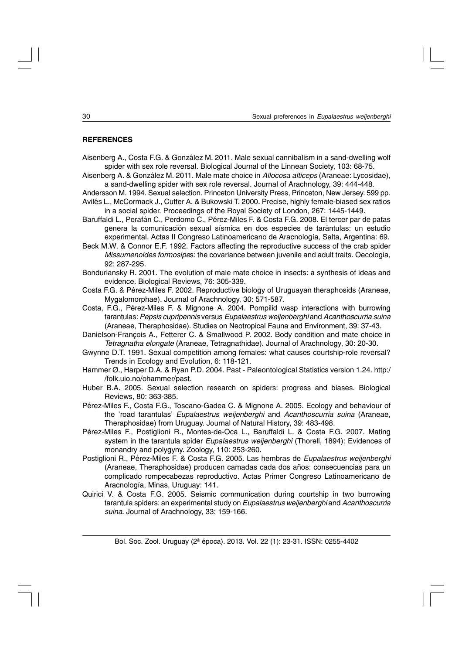# **REFERENCES**

Aisenberg A., Costa F.G. & González M. 2011. Male sexual cannibalism in a sand-dwelling wolf spider with sex role reversal. Biological Journal of the Linnean Society, 103: 68-75.

Aisenberg A. & González M. 2011. Male mate choice in *Allocosa alticeps* (Araneae: Lycosidae), a sand-dwelling spider with sex role reversal. Journal of Arachnology, 39: 444-448.

Andersson M. 1994. Sexual selection. Princeton University Press, Princeton, New Jersey. 599 pp. Avilés L., McCormack J., Cutter A. & Bukowski T. 2000. Precise, highly female-biased sex ratios in a social spider. Proceedings of the Royal Society of London, 267: 1445-1449.

- Baruffaldi L., Perafán C., Perdomo C., Pérez-Miles F. & Costa F.G. 2008. El tercer par de patas genera la comunicación sexual sísmica en dos especies de tarántulas: un estudio experimental. Actas II Congreso Latinoamericano de Aracnología, Salta, Argentina: 69.
- Beck M.W. & Connor E.F. 1992. Factors affecting the reproductive success of the crab spider *Missumenoides formosipe*s: the covariance between juvenile and adult traits. Oecologia, 92: 287-295.
- Bonduriansky R. 2001. The evolution of male mate choice in insects: a synthesis of ideas and evidence. Biological Reviews, 76: 305-339.
- Costa F.G. & Pérez-Miles F. 2002. Reproductive biology of Uruguayan theraphosids (Araneae, Mygalomorphae). Journal of Arachnology, 30: 571-587.
- Costa, F.G., Pérez-Miles F. & Mignone A. 2004. Pompilid wasp interactions with burrowing tarantulas: *Pepsis cupripennis* versus *Eupalaestrus weijenberghi* and *Acanthoscurria suina* (Araneae, Theraphosidae). Studies on Neotropical Fauna and Environment, 39: 37-43.
- Danielson-François A., Fetterer C. & Smallwood P. 2002. Body condition and mate choice in *Tetragnatha elongate* (Araneae, Tetragnathidae). Journal of Arachnology, 30: 20-30.
- Gwynne D.T. 1991. Sexual competition among females: what causes courtship-role reversal? Trends in Ecology and Evolution, 6: 118-121.
- Hammer Ø., Harper D.A. & Ryan P.D. 2004. Past Paleontological Statistics version 1.24. http:/ /folk.uio.no/ohammer/past.
- Huber B.A. 2005. Sexual selection research on spiders: progress and biases. Biological Reviews, 80: 363-385.
- Pérez-Miles F., Costa F.G., Toscano-Gadea C. & Mignone A. 2005. Ecology and behaviour of the 'road tarantulas' *Eupalaestrus weijenberghi* and *Acanthoscurria suina* (Araneae, Theraphosidae) from Uruguay. Journal of Natural History, 39: 483-498.
- Pérez-Miles F., Postiglioni R., Montes-de-Oca L., Baruffaldi L. & Costa F.G. 2007. Mating system in the tarantula spider *Eupalaestrus weijenberghi* (Thorell, 1894): Evidences of monandry and polygyny. Zoology, 110: 253-260.
- Postiglioni R., Pérez-Miles F. & Costa F.G. 2005. Las hembras de *Eupalaestrus weijenberghi* (Araneae, Theraphosidae) producen camadas cada dos años: consecuencias para un complicado rompecabezas reproductivo. Actas Primer Congreso Latinoamericano de Aracnología, Minas, Uruguay: 141.
- Quirici V. & Costa F.G. 2005. Seismic communication during courtship in two burrowing tarantula spiders: an experimental study on *Eupalaestrus weijenberghi* and *Acanthoscurria suina*. Journal of Arachnology, 33: 159-166.